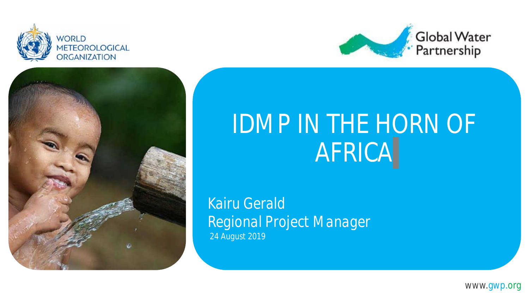





# IDMP IN THE HORN OF AFRICA

*Kairu Gerald Regional Project Manager 24 August 2019*

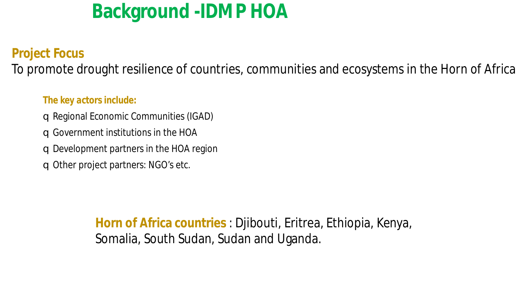## **Background -IDMP HOA**

#### *Project Focus*

To promote drought resilience of countries, communities and ecosystems in the Horn of Africa

#### *The key actors include:*

- qRegional Economic Communities (IGAD)
- qGovernment institutions in the HOA
- qDevelopment partners in the HOA region
- q Other project partners: NGO's etc.

**Horn of Africa countries** : Djibouti, Eritrea, Ethiopia, Kenya, Somalia, South Sudan, Sudan and Uganda.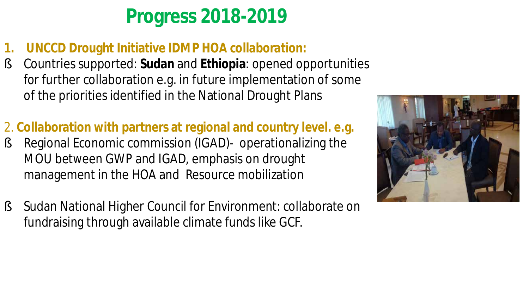## **Progress 2018-2019**

- **1. UNCCD Drought Initiative IDMP HOA collaboration:**
- § Countries supported: **Sudan** and **Ethiopia**: opened opportunities for further collaboration e.g. in future implementation of some of the priorities identified in the National Drought Plans
- 2. **Collaboration with partners at regional and country level. e.g.**
- § Regional Economic commission (IGAD)- operationalizing the MOU between GWP and IGAD, emphasis on drought management in the HOA and Resource mobilization
- § Sudan National Higher Council for Environment: collaborate on fundraising through available climate funds like GCF.

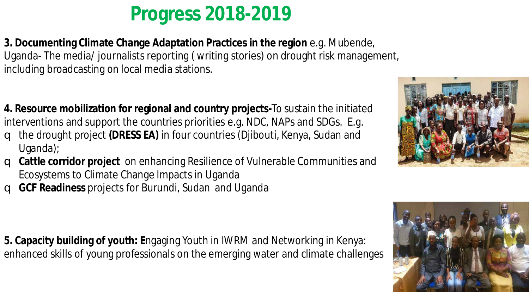## **Progress 2018-2019**

**3. Documenting Climate Change Adaptation Practices in the region** e.g. Mubende, Uganda- The media/ journalists reporting ( writing stories) on drought risk management, including broadcasting on local media stations.

- **4. Resource mobilization for regional and country projects-**To sustain the initiated interventions and support the countries priorities e.g. NDC, NAPs and SDGs. E.g.
- q the drought project **(DRESS EA)** in four countries (Djibouti, Kenya, Sudan and Uganda);
- q **Cattle corridor project** on enhancing Resilience of Vulnerable Communities and Ecosystems to Climate Change Impacts in Uganda
- q **GCF Readiness** projects for Burundi, Sudan and Uganda

**5. Capacity building of youth: E**ngaging Youth in IWRM and Networking in Kenya: enhanced skills of young professionals on the emerging water and climate challenges



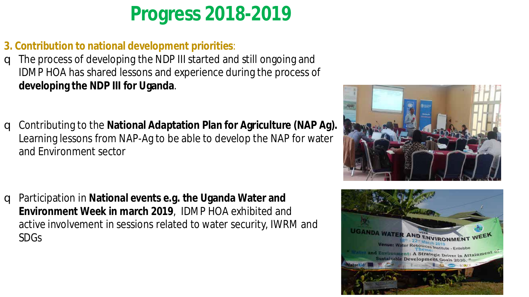## **Progress 2018-2019**

- **3. Contribution to national development priorities**:
- q The process of developing the NDP III started and still ongoing and IDMP HOA has shared lessons and experience during the process of **developing the NDP III for Uganda**.
- q Contributing to the **National Adaptation Plan for Agriculture (NAP Ag).**  Learning lessons from NAP-Ag to be able to develop the NAP for water and Environment sector

q Participation in **National events e.g. the Uganda Water and Environment Week in march 2019**, IDMP HOA exhibited and active involvement in sessions related to water security, IWRM and SDGs



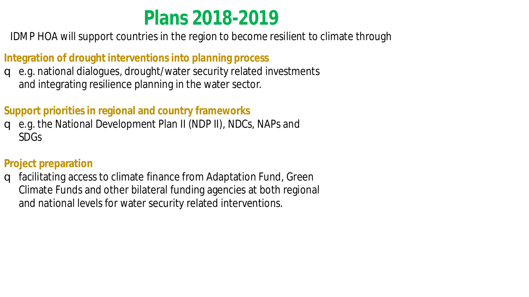### **Plans 2018-2019**

IDMP HOA will support countries in the region to become resilient to climate through

#### **Integration of drought interventions into planning process**

q e.g. national dialogues, drought/water security related investments and integrating resilience planning in the water sector.

#### **Support priorities in regional and country frameworks**

q e.g. the National Development Plan II (NDP II), NDCs, NAPs and SDGs

#### **Project preparation**

q facilitating access to climate finance from Adaptation Fund, Green Climate Funds and other bilateral funding agencies at both regional and national levels for water security related interventions.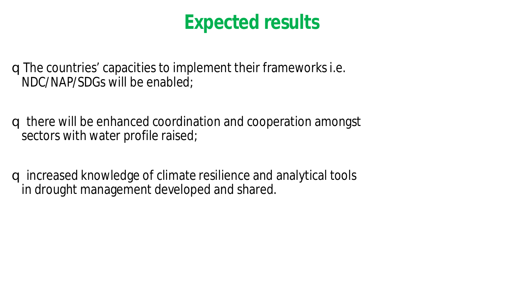### **Expected results**

qThe countries' capacities to implement their frameworks i.e. NDC/NAP/SDGs will be enabled;

- q there will be enhanced coordination and cooperation amongst sectors with water profile raised;
- q increased knowledge of climate resilience and analytical tools in drought management developed and shared.